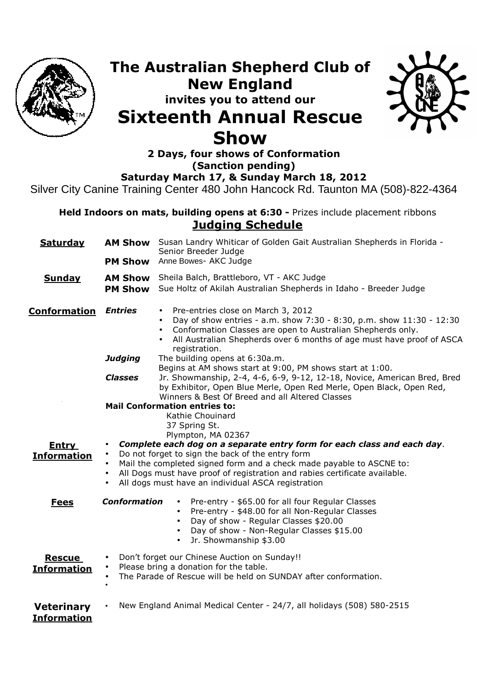

## **The Australian Shepherd Club of New England invites you to attend our Sixteenth Annual Rescue Show**



**2 Days, four shows of Conformation (Sanction pending) Saturday March 17, & Sunday March 18, 2012** 

Silver City Canine Training Center 480 John Hancock Rd. Taunton MA (508)-822-4364

**Held Indoors on mats, building opens at 6:30 - Prizes include placement ribbons Judging Schedule**

| <b>Saturday</b>                         |                                     | AM Show Susan Landry Whiticar of Golden Gait Australian Shepherds in Florida -<br>Senior Breeder Judge                                                                                                                                                                                                                                  |  |
|-----------------------------------------|-------------------------------------|-----------------------------------------------------------------------------------------------------------------------------------------------------------------------------------------------------------------------------------------------------------------------------------------------------------------------------------------|--|
|                                         | <b>PM Show</b>                      | Anne Bowes- AKC Judge                                                                                                                                                                                                                                                                                                                   |  |
| <b>Sunday</b>                           | <b>PM Show</b>                      | AM Show Sheila Balch, Brattleboro, VT - AKC Judge<br>Sue Holtz of Akilah Australian Shepherds in Idaho - Breeder Judge                                                                                                                                                                                                                  |  |
| <b>Conformation</b>                     | <b>Entries</b>                      | Pre-entries close on March 3, 2012<br>$\bullet$<br>Day of show entries - a.m. show 7:30 - 8:30, p.m. show 11:30 - 12:30<br>$\bullet$<br>Conformation Classes are open to Australian Shepherds only.<br>$\bullet$<br>All Australian Shepherds over 6 months of age must have proof of ASCA<br>registration.                              |  |
|                                         | <b>Judging</b>                      | The building opens at 6:30a.m.<br>Begins at AM shows start at 9:00, PM shows start at 1:00.                                                                                                                                                                                                                                             |  |
|                                         | <b>Classes</b>                      | Jr. Showmanship, 2-4, 4-6, 6-9, 9-12, 12-18, Novice, American Bred, Bred<br>by Exhibitor, Open Blue Merle, Open Red Merle, Open Black, Open Red,<br>Winners & Best Of Breed and all Altered Classes                                                                                                                                     |  |
|                                         |                                     | <b>Mail Conformation entries to:</b>                                                                                                                                                                                                                                                                                                    |  |
|                                         |                                     | Kathie Chouinard                                                                                                                                                                                                                                                                                                                        |  |
|                                         |                                     | 37 Spring St.<br>Plympton, MA 02367                                                                                                                                                                                                                                                                                                     |  |
| <b>Entry</b><br><b>Information</b>      | $\bullet$<br>$\bullet$<br>$\bullet$ | Complete each dog on a separate entry form for each class and each day.<br>Do not forget to sign the back of the entry form<br>Mail the completed signed form and a check made payable to ASCNE to:<br>All Dogs must have proof of registration and rabies certificate available.<br>All dogs must have an individual ASCA registration |  |
| <b>Fees</b>                             | <b>Conformation</b>                 | Pre-entry - \$65.00 for all four Regular Classes<br>$\bullet$<br>Pre-entry - \$48.00 for all Non-Regular Classes<br>$\bullet$<br>Day of show - Regular Classes \$20.00<br>$\bullet$<br>Day of show - Non-Regular Classes \$15.00<br>$\bullet$<br>Jr. Showmanship \$3.00<br>$\bullet$                                                    |  |
| <b>Rescue</b><br><b>Information</b>     | $\bullet$                           | Don't forget our Chinese Auction on Sunday!!<br>Please bring a donation for the table.<br>The Parade of Rescue will be held on SUNDAY after conformation.                                                                                                                                                                               |  |
| <b>Veterinary</b><br><b>Information</b> |                                     | New England Animal Medical Center - 24/7, all holidays (508) 580-2515                                                                                                                                                                                                                                                                   |  |